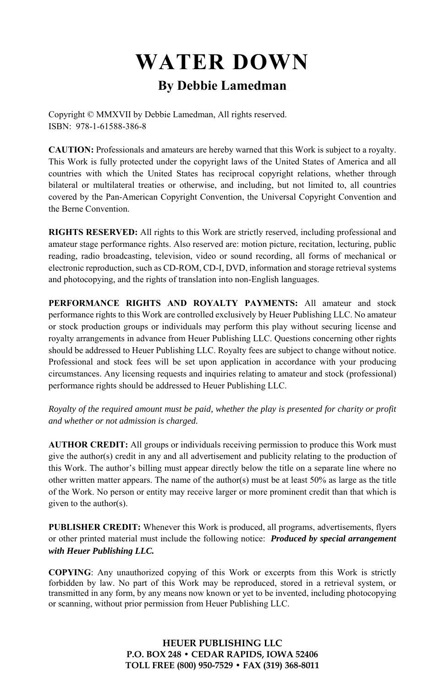# **WATER DOWN By Debbie Lamedman**

Copyright © MMXVII by Debbie Lamedman, All rights reserved. ISBN: 978-1-61588-386-8

**CAUTION:** Professionals and amateurs are hereby warned that this Work is subject to a royalty. This Work is fully protected under the copyright laws of the United States of America and all countries with which the United States has reciprocal copyright relations, whether through bilateral or multilateral treaties or otherwise, and including, but not limited to, all countries covered by the Pan-American Copyright Convention, the Universal Copyright Convention and the Berne Convention.

**RIGHTS RESERVED:** All rights to this Work are strictly reserved, including professional and amateur stage performance rights. Also reserved are: motion picture, recitation, lecturing, public reading, radio broadcasting, television, video or sound recording, all forms of mechanical or electronic reproduction, such as CD-ROM, CD-I, DVD, information and storage retrieval systems and photocopying, and the rights of translation into non-English languages.

**PERFORMANCE RIGHTS AND ROYALTY PAYMENTS:** All amateur and stock performance rights to this Work are controlled exclusively by Heuer Publishing LLC. No amateur or stock production groups or individuals may perform this play without securing license and royalty arrangements in advance from Heuer Publishing LLC. Questions concerning other rights should be addressed to Heuer Publishing LLC. Royalty fees are subject to change without notice. Professional and stock fees will be set upon application in accordance with your producing circumstances. Any licensing requests and inquiries relating to amateur and stock (professional) performance rights should be addressed to Heuer Publishing LLC.

*Royalty of the required amount must be paid, whether the play is presented for charity or profit and whether or not admission is charged.* 

**AUTHOR CREDIT:** All groups or individuals receiving permission to produce this Work must give the author(s) credit in any and all advertisement and publicity relating to the production of this Work. The author's billing must appear directly below the title on a separate line where no other written matter appears. The name of the author(s) must be at least  $50\%$  as large as the title of the Work. No person or entity may receive larger or more prominent credit than that which is given to the author(s).

**PUBLISHER CREDIT:** Whenever this Work is produced, all programs, advertisements, flyers or other printed material must include the following notice: *Produced by special arrangement with Heuer Publishing LLC.*

**COPYING**: Any unauthorized copying of this Work or excerpts from this Work is strictly forbidden by law. No part of this Work may be reproduced, stored in a retrieval system, or transmitted in any form, by any means now known or yet to be invented, including photocopying or scanning, without prior permission from Heuer Publishing LLC.

> **HEUER PUBLISHING LLC P.O. BOX 248 • CEDAR RAPIDS, IOWA 52406 TOLL FREE (800) 950-7529 • FAX (319) 368-8011**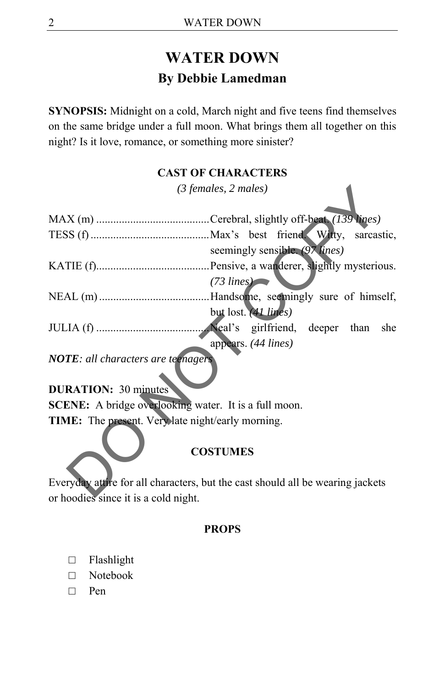# **WATER DOWN By Debbie Lamedman**

**SYNOPSIS:** Midnight on a cold, March night and five teens find themselves on the same bridge under a full moon. What brings them all together on this night? Is it love, romance, or something more sinister?

#### **CAST OF CHARACTERS**

*(3 females, 2 males)* 

|                                                              | $(3$ females, 2 males)                                                         |
|--------------------------------------------------------------|--------------------------------------------------------------------------------|
|                                                              |                                                                                |
|                                                              |                                                                                |
|                                                              | seemingly sensible. (97 lines)                                                 |
|                                                              |                                                                                |
|                                                              | $(73 \text{ lines})$                                                           |
|                                                              |                                                                                |
|                                                              | but lost. (41 lines)                                                           |
|                                                              |                                                                                |
|                                                              | appears. (44 lines)                                                            |
| <b>NOTE</b> : all characters are teenagers                   |                                                                                |
| <b>DURATION: 30 minutes</b>                                  |                                                                                |
| <b>SCENE:</b> A bridge overlooking water. It is a full moon. |                                                                                |
| TIME: The present. Very late night/early morning.            |                                                                                |
|                                                              |                                                                                |
|                                                              | <b>COSTUMES</b>                                                                |
|                                                              | Everyday attire for all characters, but the cast should all be wearing jackets |
| or hoodige gings it is a sold night                          |                                                                                |

#### **COSTUMES**

Everyday attire for all characters, but the cast should all be wearing jackets or hoodies since it is a cold night.

#### **PROPS**

- □ Flashlight
- □ Notebook
- □ Pen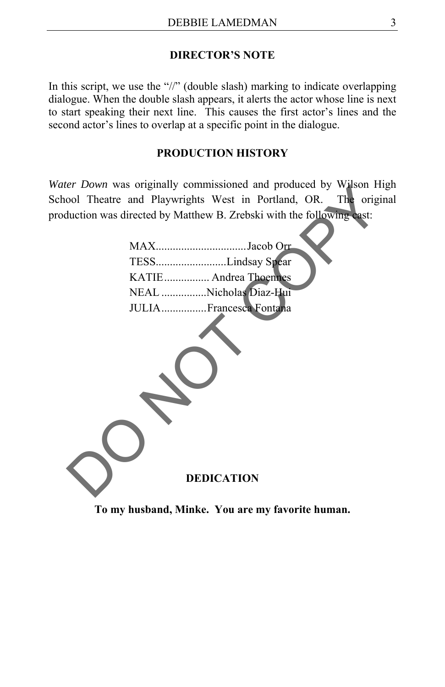#### **DIRECTOR'S NOTE**

In this script, we use the "//" (double slash) marking to indicate overlapping dialogue. When the double slash appears, it alerts the actor whose line is next to start speaking their next line. This causes the first actor's lines and the second actor's lines to overlap at a specific point in the dialogue.

#### **PRODUCTION HISTORY**

*Water Down* was originally commissioned and produced by Wilson High School Theatre and Playwrights West in Portland, OR. The original production was directed by Matthew B. Zrebski with the following cast:

| TESSLindsay Spear      |
|------------------------|
| KATIE Andrea Thoennes  |
| NEAL Nicholas Diaz-Hui |
| JULIAFrancesca Fontana |



**To my husband, Minke. You are my favorite human.**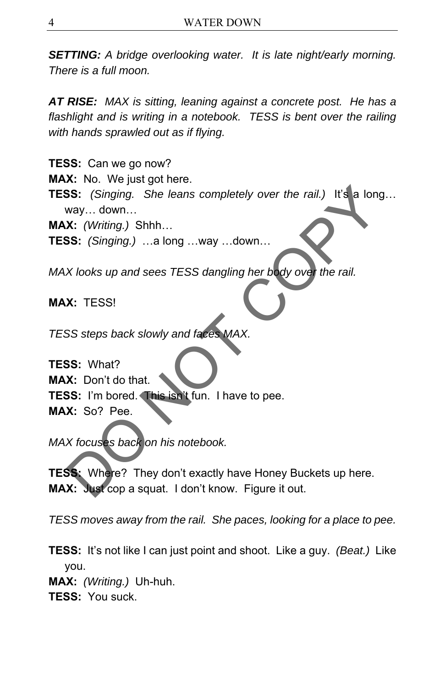*SETTING: A bridge overlooking water. It is late night/early morning. There is a full moon.* 

*AT RISE: MAX is sitting, leaning against a concrete post. He has a flashlight and is writing in a notebook. TESS is bent over the railing with hands sprawled out as if flying.* 

**TESS:** Can we go now? **MAX:** No. We just got here. **TESS:** *(Singing. She leans completely over the rail.)* It's a long… way… down… **MAX:** *(Writing.)* Shhh… **TESS:** *(Singing.)* …a long …way …down… SS: (Singing. She leans completely over the rail.) It's a long.<br>
Way... down...<br>
X: (Writing.) Shhh...<br>
X: (Writing.) Shhh...<br>
X: (Singing.) ...a long ...way ...down...<br>
X: looks up and sees TESS dangling her body over the

*MAX looks up and sees TESS dangling her body over the rail.* 

**MAX:** TESS!

*TESS steps back slowly and faces MAX.* 

**TESS:** What? **MAX:** Don't do that. **TESS:** I'm bored. This isn't fun. I have to pee. **MAX:** So? Pee.

*MAX focuses back on his notebook.* 

**TESS:** Where? They don't exactly have Honey Buckets up here. **MAX:** Just cop a squat. I don't know. Figure it out.

*TESS moves away from the rail. She paces, looking for a place to pee.* 

**TESS:** It's not like I can just point and shoot. Like a guy. *(Beat.)* Like you.

**MAX:** *(Writing.)* Uh-huh.

**TESS:** You suck.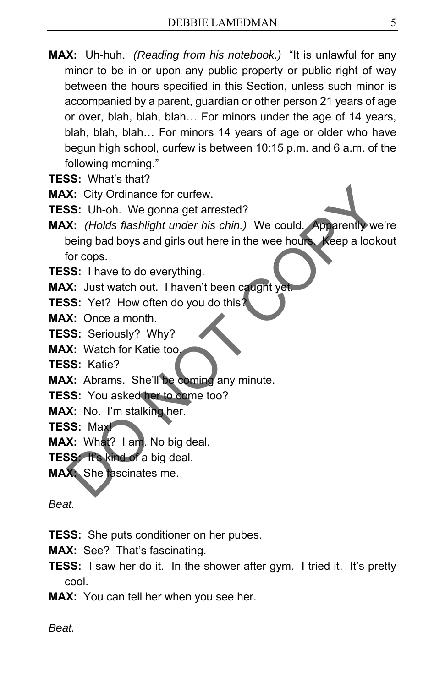**MAX:** Uh-huh. *(Reading from his notebook.)* "It is unlawful for any minor to be in or upon any public property or public right of way between the hours specified in this Section, unless such minor is accompanied by a parent, guardian or other person 21 years of age or over, blah, blah, blah… For minors under the age of 14 years, blah, blah, blah… For minors 14 years of age or older who have begun high school, curfew is between 10:15 p.m. and 6 a.m. of the following morning."

**TESS:** What's that?

**MAX:** City Ordinance for curfew.

**TESS:** Uh-oh. We gonna get arrested?

**MAX:** *(Holds flashlight under his chin.)* We could. Apparently we're being bad boys and girls out here in the wee hours. Keep a lookout for cops. X: City Ordinance for curfew.<br>
SS: Uh-oh. We gonna get arrested?<br>
X: (Holds flashlight under his chin.) We could. Apparently we're<br>
being bad boys and girls out here in the wee hours. Weep a lookou<br>
for cops.<br>
SS: Unave to

**TESS:** I have to do everything.

**MAX:** Just watch out. I haven't been caught yet.

**TESS:** Yet? How often do you do this?

**MAX:** Once a month.

**TESS:** Seriously? Why?

**MAX:** Watch for Katie too.

**TESS:** Katie?

**MAX:** Abrams. She'll be coming any minute.

**TESS:** You asked her to come too?

**MAX:** No. I'm stalking her.

**TESS:** Max!

**MAX:** What? I am. No big deal.

**TESS:** It's kind of a big deal.

**MAX:** She fascinates me.

*Beat.* 

**TESS:** She puts conditioner on her pubes.

**MAX:** See? That's fascinating.

**TESS:** I saw her do it. In the shower after gym. I tried it. It's pretty cool.

**MAX:** You can tell her when you see her.

*Beat.*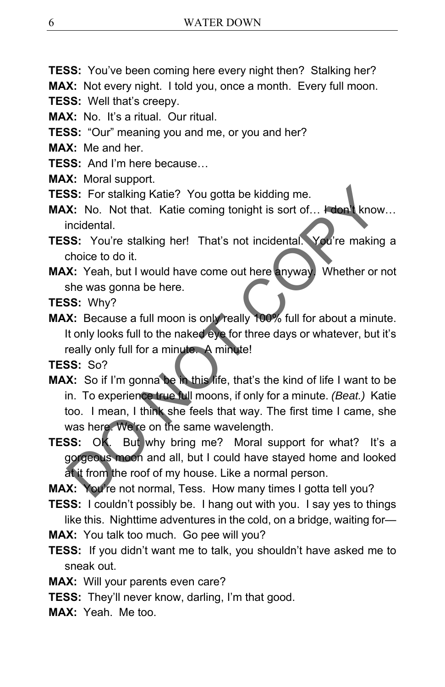**TESS:** You've been coming here every night then? Stalking her?

**MAX:** Not every night. I told you, once a month. Every full moon.

- **TESS:** Well that's creepy.
- **MAX:** No. It's a ritual. Our ritual.
- **TESS:** "Our" meaning you and me, or you and her?

**MAX:** Me and her

- **TESS:** And I'm here because…
- **MAX:** Moral support.
- **TESS:** For stalking Katie? You gotta be kidding me.
- **MAX:** No. Not that. Katie coming tonight is sort of... I don't know... incidental.
- **TESS:** You're stalking her! That's not incidental. You're making a choice to do it.
- **MAX:** Yeah, but I would have come out here anyway. Whether or not she was gonna be here.
- **TESS:** Why?
- **MAX:** Because a full moon is only really 100% full for about a minute. It only looks full to the naked eye for three days or whatever, but it's really only full for a minute. A minute!

**TESS:** So?

- **MAX:** So if I'm gonna be in this life, that's the kind of life I want to be in. To experience true full moons, if only for a minute. *(Beat.)* Katie too. I mean, I think she feels that way. The first time I came, she was here. We're on the same wavelength. SS: For stalking Katie? You gotta be kidding me.<br>
X: No. Not that. Katie coming tonight is sort of... How know.<br>
incidental.<br>
SS: You're stalking her! That's not incidental. You're making a<br>
choice to do it.<br>
X: Yeah, but
- **TESS:** OK. But why bring me? Moral support for what? It's a gorgeous moon and all, but I could have stayed home and looked at it from the roof of my house. Like a normal person.

**MAX:** You're not normal, Tess. How many times I gotta tell you?

- **TESS:** I couldn't possibly be. I hang out with you. I say yes to things like this. Nighttime adventures in the cold, on a bridge, waiting for—
- **MAX:** You talk too much. Go pee will you?
- **TESS:** If you didn't want me to talk, you shouldn't have asked me to sneak out.
- **MAX:** Will your parents even care?
- **TESS:** They'll never know, darling, I'm that good.
- **MAX:** Yeah. Me too.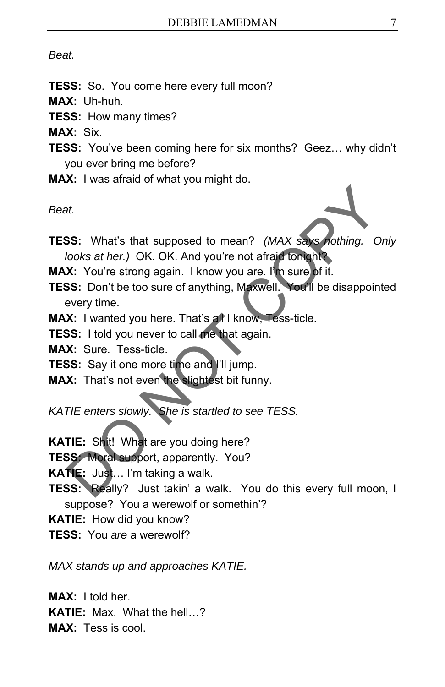#### *Beat.*

- **TESS:** So. You come here every full moon?
- **MAX:** Uh-huh.
- **TESS:** How many times?
- **MAX:** Six.
- **TESS:** You've been coming here for six months? Geez… why didn't you ever bring me before?
- **MAX:** I was afraid of what you might do.

*Beat.* 



- **TESS:** What's that supposed to mean? *(MAX says nothing. Only looks at her.)* OK. OK. And you're not afraid tonight? at.<br>
SS: What's that supposed to mean? (MAX says nothing. Onl<br>
looks at her.) OK. OK. And you're not afraid formulations<br>
X: You're strong again. I know you are. I'm sure of it.<br>
SS: Don't be too sure of anything, Maxwell.
- **MAX:** You're strong again. I know you are. I'm sure of it.
- **TESS:** Don't be too sure of anything, Maxwell. You'll be disappointed every time.
- **MAX:** I wanted you here. That's all I know, Tess-ticle.
- **TESS:** I told you never to call me that again.
- **MAX:** Sure. Tess-ticle.
- **TESS:** Say it one more time and I'll jump.
- **MAX:** That's not even the slightest bit funny.

*KATIE enters slowly. She is startled to see TESS.* 

**KATIE:** Shit! What are you doing here?

**TESS:** Moral support, apparently. You?

**KATIE:** Just… I'm taking a walk.

- **TESS:** Really? Just takin' a walk. You do this every full moon, I suppose? You a werewolf or somethin'?
- **KATIE:** How did you know?
- **TESS:** You *are* a werewolf?

*MAX stands up and approaches KATIE.* 

**MAX:** I told her. **KATIE:** Max. What the hell…? **MAX:** Tess is cool.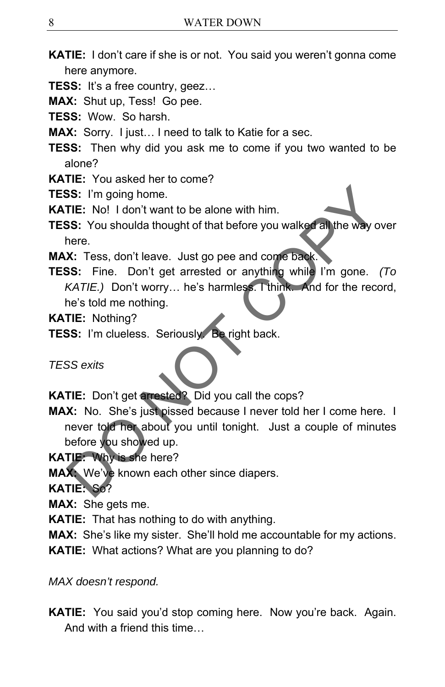- **KATIE:** I don't care if she is or not. You said you weren't gonna come here anymore.
- **TESS:** It's a free country, geez…
- **MAX:** Shut up, Tess! Go pee.
- **TESS:** Wow. So harsh.
- **MAX:** Sorry. I just… I need to talk to Katie for a sec.
- **TESS:** Then why did you ask me to come if you two wanted to be alone?
- **KATIE:** You asked her to come?
- **TESS:** I'm going home.
- **KATIE:** No! I don't want to be alone with him.
- **TESS:** You shoulda thought of that before you walked all the way over here.
- **MAX:** Tess, don't leave. Just go pee and come back.
- **TESS:** Fine. Don't get arrested or anything while I'm gone. *(To KATIE.)* Don't worry… he's harmless. I think. And for the record, he's told me nothing.
- **KATIE:** Nothing?
- **TESS:** I'm clueless. Seriously. Be right back.

*TESS exits* 

- **KATIE:** Don't get arrested? Did you call the cops?
- **MAX:** No. She's just pissed because I never told her I come here. I never told her about you until tonight. Just a couple of minutes before you showed up. SS: I'm going home.<br>
TIE: No! I don't want to be alone with him.<br>
SS: You shoulda thought of that before you walked all the way over<br>
there.<br>
X: Tess, don't leave. Just go pee and come back.<br>
SS: Fine. Don't get arrested o
- **KATIE:** Why is she here?
- **MAX:** We've known each other since diapers.

**KATIE:** So?

**MAX:** She gets me.

**KATIE:** That has nothing to do with anything.

**MAX:** She's like my sister. She'll hold me accountable for my actions.

**KATIE:** What actions? What are you planning to do?

*MAX doesn't respond.* 

**KATIE:** You said you'd stop coming here. Now you're back. Again. And with a friend this time…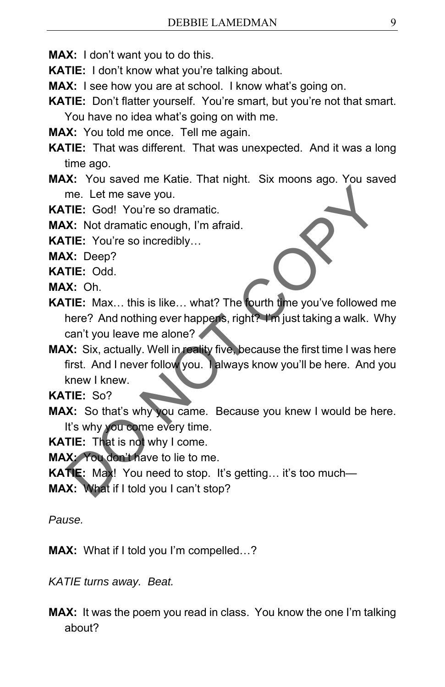**MAX:** I don't want you to do this.

**KATIE:** I don't know what you're talking about.

**MAX:** I see how you are at school. I know what's going on.

**KATIE:** Don't flatter yourself. You're smart, but you're not that smart. You have no idea what's going on with me.

**MAX:** You told me once. Tell me again.

**KATIE:** That was different. That was unexpected. And it was a long time ago.

**MAX:** You saved me Katie. That night. Six moons ago. You saved me. Let me save you.

**KATIE:** God! You're so dramatic.

**MAX:** Not dramatic enough, I'm afraid.

**KATIE:** You're so incredibly…

**MAX:** Deep?

**KATIE:** Odd.

**MAX:** Oh.

- **KATIE:** Max… this is like… what? The fourth time you've followed me here? And nothing ever happens, right? I'm just taking a walk. Why can't you leave me alone?
- **MAX:** Six, actually. Well in reality five, because the first time I was here first. And I never follow you. I always know you'll be here. And you knew I knew. me. Let me save you.<br>
TIE: God! You're so dramatic.<br>
X: Not dramatic enough, I'm afraid.<br>
X: Oh.<br>
X: Oh.<br>
X: Oh.<br>
X: Oh.<br>
X: Oh.<br>
X: Six, actually. Well in reality five because the first time I was here<br>
intered And nothin

**KATIE:** So?

**MAX:** So that's why you came. Because you knew I would be here. It's why you come every time.

**KATIE:** That is not why I come.

**MAX:** You don't have to lie to me.

**KATIE:** Max! You need to stop. It's getting… it's too much—

**MAX:** What if I told you I can't stop?

*Pause.* 

**MAX:** What if I told you I'm compelled…?

*KATIE turns away. Beat.* 

**MAX:** It was the poem you read in class. You know the one I'm talking about?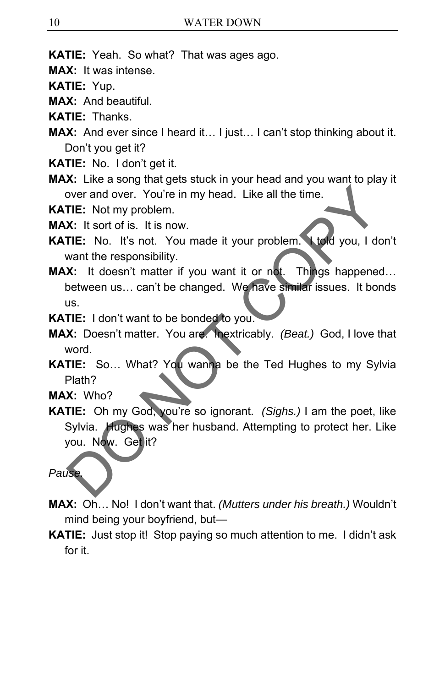**KATIE:** Yeah. So what? That was ages ago.

**MAX:** It was intense.

**KATIE:** Yup.

**MAX:** And beautiful.

**KATIE:** Thanks.

- **MAX:** And ever since I heard it… I just… I can't stop thinking about it. Don't you get it?
- **KATIE:** No. I don't get it.
- **MAX:** Like a song that gets stuck in your head and you want to play it over and over. You're in my head. Like all the time.

**KATIE:** Not my problem.

**MAX:** It sort of is. It is now.

- **KATIE:** No. It's not. You made it your problem. I told you, I don't want the responsibility.
- **MAX:** It doesn't matter if you want it or not. Things happened… between us… can't be changed. We have similar issues. It bonds us.
- **KATIE:** I don't want to be bonded to you.
- **MAX:** Doesn't matter. You are. Inextricably. *(Beat.)* God, I love that word.
- **KATIE:** So… What? You wanna be the Ted Hughes to my Sylvia Plath?

**MAX:** Who?

**KATIE:** Oh my God, you're so ignorant. *(Sighs.)* I am the poet, like Sylvia. Hughes was her husband. Attempting to protect her. Like you. Now. Get it? over and over. You're in my head. Like all the time.<br>
TIE: Not my problem.<br>
X: It sort of is. It is now.<br>
TIE: No. It's not. You made it your problem.<br>
ITE: No. It's not. You made it your problem.<br>
Want the responsibility.

### *Pause.*

- **MAX:** Oh… No! I don't want that. *(Mutters under his breath.)* Wouldn't mind being your boyfriend, but—
- **KATIE:** Just stop it! Stop paying so much attention to me. I didn't ask for it.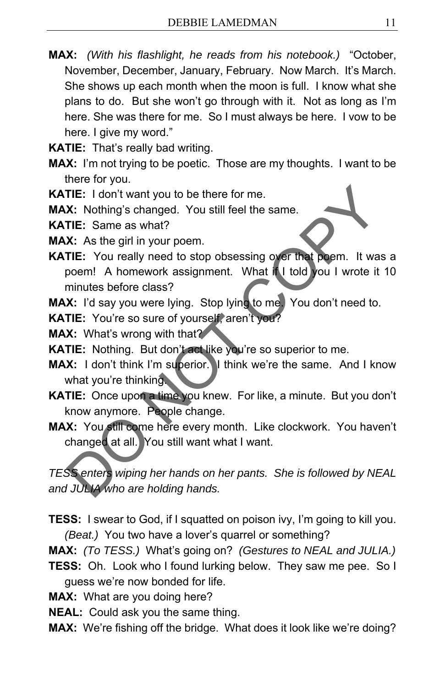- **MAX:** *(With his flashlight, he reads from his notebook.)* "October, November, December, January, February. Now March. It's March. She shows up each month when the moon is full. I know what she plans to do. But she won't go through with it. Not as long as I'm here. She was there for me. So I must always be here. I vow to be here. I give my word."
- **KATIE:** That's really bad writing.
- **MAX:** I'm not trying to be poetic. Those are my thoughts. I want to be there for you.

**KATIE:** I don't want you to be there for me.

**MAX:** Nothing's changed. You still feel the same.

**KATIE:** Same as what?

**MAX:** As the girl in your poem.

**KATIE:** You really need to stop obsessing over that poem. It was a poem! A homework assignment. What if I told you I wrote it 10 minutes before class? THE: I don't want you to be there for me.<br>
X: Nothing's changed. You still feel the same.<br>
THE: Same as what?<br>
X: As the girl in your poem.<br>
THE: You really need to stop obsessing over that poem. It was a<br>
poem! A homework

**MAX:** I'd say you were lying. Stop lying to me. You don't need to.

**KATIE:** You're so sure of yourself, aren't you?

**MAX:** What's wrong with that?

**KATIE:** Nothing. But don't act like you're so superior to me.

**MAX:** I don't think I'm superior. I think we're the same. And I know what you're thinking.

- **KATIE:** Once upon a time you knew. For like, a minute. But you don't know anymore. People change.
- **MAX:** You still come here every month. Like clockwork. You haven't changed at all. You still want what I want.

*TESS enters wiping her hands on her pants. She is followed by NEAL and JULIA who are holding hands.* 

**TESS:** I swear to God, if I squatted on poison ivy, I'm going to kill you. *(Beat.)* You two have a lover's quarrel or something?

**MAX:** *(To TESS.)* What's going on? *(Gestures to NEAL and JULIA.)*

**TESS:** Oh. Look who I found lurking below. They saw me pee. So I guess we're now bonded for life.

**MAX:** What are you doing here?

- **NEAL:** Could ask you the same thing.
- **MAX:** We're fishing off the bridge. What does it look like we're doing?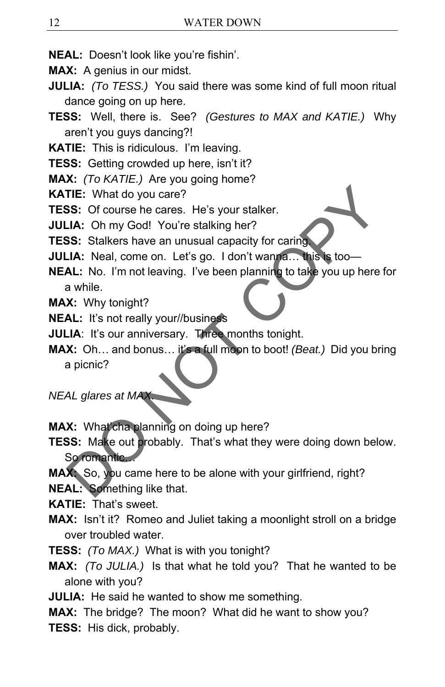- **NEAL:** Doesn't look like you're fishin'.
- **MAX:** A genius in our midst.
- **JULIA:** *(To TESS.)* You said there was some kind of full moon ritual dance going on up here.
- **TESS:** Well, there is. See? *(Gestures to MAX and KATIE.)* Why aren't you guys dancing?!
- **KATIE:** This is ridiculous. I'm leaving.
- **TESS:** Getting crowded up here, isn't it?
- **MAX:** *(To KATIE.)* Are you going home?
- **KATIE:** What do you care?
- **TESS:** Of course he cares. He's your stalker.
- **JULIA:** Oh my God! You're stalking her?
- **TESS:** Stalkers have an unusual capacity for caring.
- **JULIA:** Neal, come on. Let's go. I don't wanna... this is too-
- **NEAL:** No. I'm not leaving. I've been planning to take you up here for a while.
- **MAX:** Why tonight?
- **NEAL:** It's not really your//business
- **JULIA:** It's our anniversary. Three months tonight.
- **MAX:** Oh… and bonus… it's a full moon to boot! *(Beat.)* Did you bring a picnic? THE: What do you care?<br>
SS: Of course he cares. He's your stalker.<br>
LA: Oh my God! You're stalking her?<br>
SS: Stalkers have an unusual capacity for caring<br>
CLA: No. I'm not leaving. I've been planning to take you up here fo
- *NEAL glares at MAX*
- **MAX:** What'cha planning on doing up here?
- **TESS:** Make out probably. That's what they were doing down below. So romantic…
- **MAX:** So, you came here to be alone with your girlfriend, right?
- **NEAL:** Something like that.
- **KATIE:** That's sweet.
- **MAX:** Isn't it? Romeo and Juliet taking a moonlight stroll on a bridge over troubled water.
- **TESS:** *(To MAX.)* What is with you tonight?
- **MAX:** *(To JULIA.)* Is that what he told you? That he wanted to be alone with you?
- **JULIA:** He said he wanted to show me something.
- **MAX:** The bridge? The moon? What did he want to show you?
- **TESS:** His dick, probably.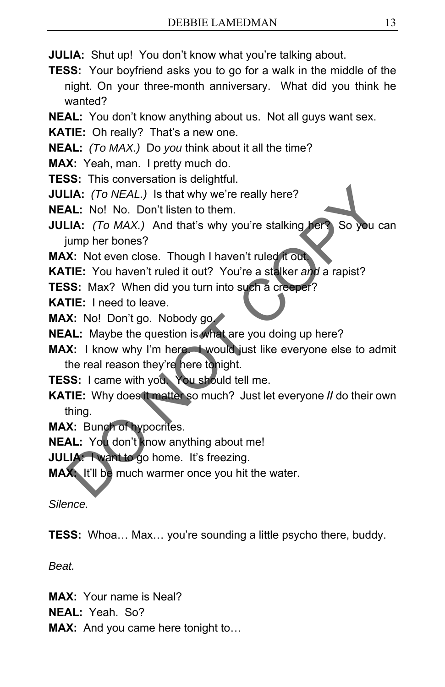**JULIA:** Shut up! You don't know what you're talking about.

**TESS:** Your boyfriend asks you to go for a walk in the middle of the night. On your three-month anniversary. What did you think he wanted?

**NEAL:** You don't know anything about us. Not all guys want sex.

**KATIE:** Oh really? That's a new one.

**NEAL:** *(To MAX.)* Do *you* think about it all the time?

**MAX:** Yeah, man. I pretty much do.

**TESS:** This conversation is delightful.

**JULIA:** *(To NEAL.)* Is that why we're really here?

**NEAL:** No! No. Don't listen to them.

**JULIA:** *(To MAX.)* And that's why you're stalking her? So you can jump her bones? **LA:** (*To NEAL.*) Is that why we're really here?<br> **AL:** No! No. Don't listen to them.<br> **LA:** (*To MAX.*) And that's why you're stalking here.<br> **COPY COPY COPY**<br> **COPY COPY THE:** You haven't ruled it out? You're a stalker

**MAX:** Not even close. Though I haven't ruled it out.

**KATIE:** You haven't ruled it out? You're a stalker *and* a rapist?

**TESS:** Max? When did you turn into such a creeper?

**KATIE:** I need to leave.

**MAX:** No! Don't go. Nobody go.

**NEAL:** Maybe the question is what are you doing up here?

**MAX:** I know why I'm here. I would just like everyone else to admit the real reason they're here tonight.

**TESS:** I came with you. You should tell me.

**KATIE:** Why does it matter so much? Just let everyone **//** do their own thing.

**MAX:** Bunch of hypocrites.

**NEAL:** You don't know anything about me!

**JULIA:** I want to go home. It's freezing.

**MAX:** It'll be much warmer once you hit the water.

*Silence.* 

**TESS:** Whoa… Max… you're sounding a little psycho there, buddy.

*Beat.* 

**MAX:** Your name is Neal?

**NEAL:** Yeah. So?

**MAX:** And you came here tonight to…